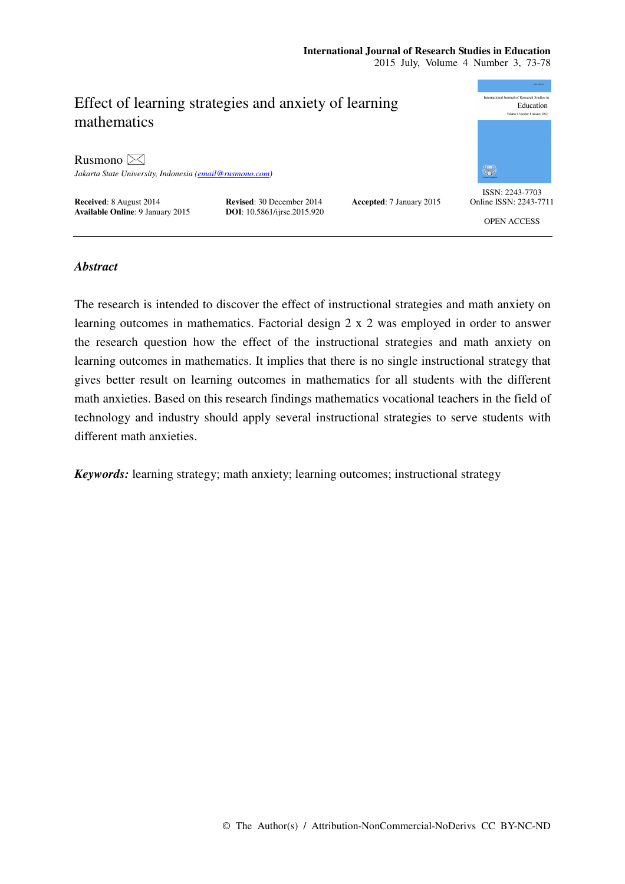### **International Journal of Research Studies in Education**  2015 July, Volume 4 Number 3, 73-78



# *Abstract*

The research is intended to discover the effect of instructional strategies and math anxiety on learning outcomes in mathematics. Factorial design 2 x 2 was employed in order to answer the research question how the effect of the instructional strategies and math anxiety on learning outcomes in mathematics. It implies that there is no single instructional strategy that gives better result on learning outcomes in mathematics for all students with the different math anxieties. Based on this research findings mathematics vocational teachers in the field of technology and industry should apply several instructional strategies to serve students with different math anxieties.

*Keywords:* learning strategy; math anxiety; learning outcomes; instructional strategy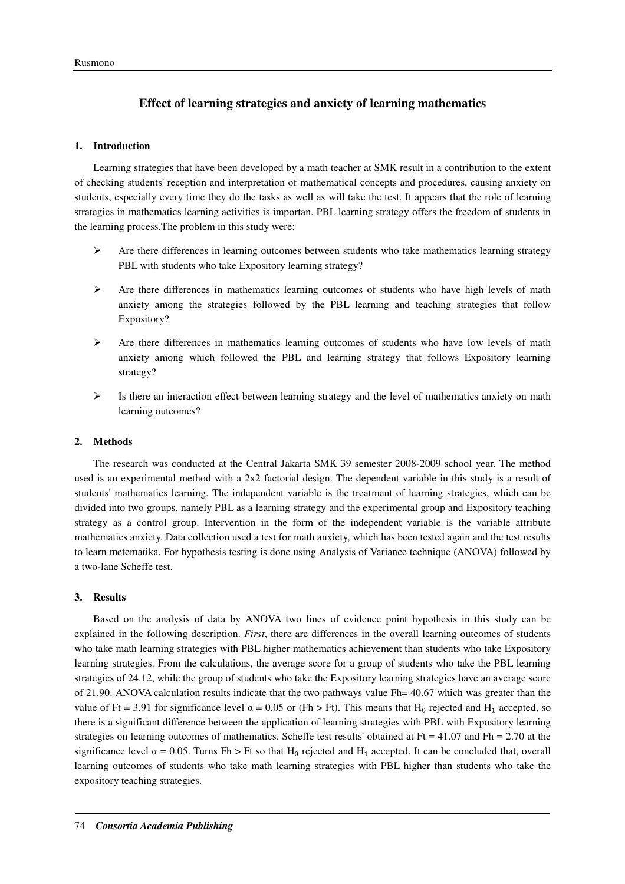# **Effect of learning strategies and anxiety of learning mathematics**

### **1. Introduction**

Learning strategies that have been developed by a math teacher at SMK result in a contribution to the extent of checking students' reception and interpretation of mathematical concepts and procedures, causing anxiety on students, especially every time they do the tasks as well as will take the test. It appears that the role of learning strategies in mathematics learning activities is importan. PBL learning strategy offers the freedom of students in the learning process.The problem in this study were:

- $\triangleright$  Are there differences in learning outcomes between students who take mathematics learning strategy PBL with students who take Expository learning strategy?
- $\triangleright$  Are there differences in mathematics learning outcomes of students who have high levels of math anxiety among the strategies followed by the PBL learning and teaching strategies that follow Expository?
- $\triangleright$  Are there differences in mathematics learning outcomes of students who have low levels of math anxiety among which followed the PBL and learning strategy that follows Expository learning strategy?
- $\triangleright$  Is there an interaction effect between learning strategy and the level of mathematics anxiety on math learning outcomes?

### **2. Methods**

The research was conducted at the Central Jakarta SMK 39 semester 2008-2009 school year. The method used is an experimental method with a 2x2 factorial design. The dependent variable in this study is a result of students' mathematics learning. The independent variable is the treatment of learning strategies, which can be divided into two groups, namely PBL as a learning strategy and the experimental group and Expository teaching strategy as a control group. Intervention in the form of the independent variable is the variable attribute mathematics anxiety. Data collection used a test for math anxiety, which has been tested again and the test results to learn metematika. For hypothesis testing is done using Analysis of Variance technique (ANOVA) followed by a two-lane Scheffe test.

#### **3. Results**

Based on the analysis of data by ANOVA two lines of evidence point hypothesis in this study can be explained in the following description. *First*, there are differences in the overall learning outcomes of students who take math learning strategies with PBL higher mathematics achievement than students who take Expository learning strategies. From the calculations, the average score for a group of students who take the PBL learning strategies of 24.12, while the group of students who take the Expository learning strategies have an average score of 21.90. ANOVA calculation results indicate that the two pathways value Fh= 40.67 which was greater than the value of Ft = 3.91 for significance level  $\alpha$  = 0.05 or (Fh > Ft). This means that H<sub>0</sub> rejected and H<sub>1</sub> accepted, so there is a significant difference between the application of learning strategies with PBL with Expository learning strategies on learning outcomes of mathematics. Scheffe test results' obtained at Ft = 41.07 and Fh = 2.70 at the significance level  $\alpha = 0.05$ . Turns Fh > Ft so that H<sub>0</sub> rejected and H<sub>1</sub> accepted. It can be concluded that, overall learning outcomes of students who take math learning strategies with PBL higher than students who take the expository teaching strategies.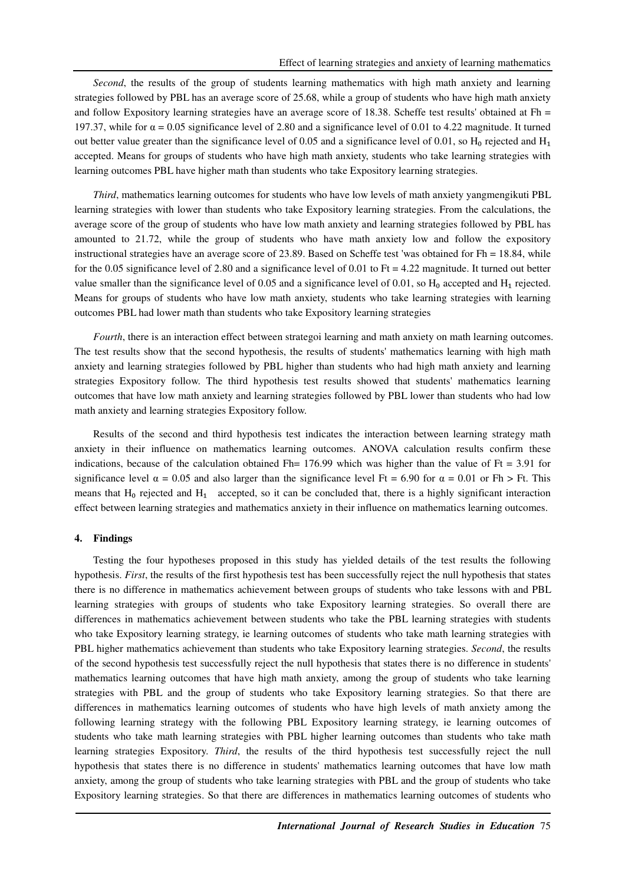*Second*, the results of the group of students learning mathematics with high math anxiety and learning strategies followed by PBL has an average score of 25.68, while a group of students who have high math anxiety and follow Expository learning strategies have an average score of 18.38. Scheffe test results' obtained at Fh = 197.37, while for  $\alpha = 0.05$  significance level of 2.80 and a significance level of 0.01 to 4.22 magnitude. It turned out better value greater than the significance level of 0.05 and a significance level of 0.01, so  $H_0$  rejected and  $H_1$ accepted. Means for groups of students who have high math anxiety, students who take learning strategies with learning outcomes PBL have higher math than students who take Expository learning strategies.

*Third*, mathematics learning outcomes for students who have low levels of math anxiety yangmengikuti PBL learning strategies with lower than students who take Expository learning strategies. From the calculations, the average score of the group of students who have low math anxiety and learning strategies followed by PBL has amounted to 21.72, while the group of students who have math anxiety low and follow the expository instructional strategies have an average score of 23.89. Based on Scheffe test 'was obtained for  $Fh = 18.84$ , while for the 0.05 significance level of 2.80 and a significance level of 0.01 to Ft = 4.22 magnitude. It turned out better value smaller than the significance level of 0.05 and a significance level of 0.01, so  $H_0$  accepted and  $H_1$  rejected. Means for groups of students who have low math anxiety, students who take learning strategies with learning outcomes PBL had lower math than students who take Expository learning strategies

*Fourth*, there is an interaction effect between strategoi learning and math anxiety on math learning outcomes. The test results show that the second hypothesis, the results of students' mathematics learning with high math anxiety and learning strategies followed by PBL higher than students who had high math anxiety and learning strategies Expository follow. The third hypothesis test results showed that students' mathematics learning outcomes that have low math anxiety and learning strategies followed by PBL lower than students who had low math anxiety and learning strategies Expository follow.

Results of the second and third hypothesis test indicates the interaction between learning strategy math anxiety in their influence on mathematics learning outcomes. ANOVA calculation results confirm these indications, because of the calculation obtained Fh=  $176.99$  which was higher than the value of Ft = 3.91 for significance level  $\alpha = 0.05$  and also larger than the significance level Ft = 6.90 for  $\alpha = 0.01$  or Fh > Ft. This means that  $H_0$  rejected and  $H_1$  accepted, so it can be concluded that, there is a highly significant interaction effect between learning strategies and mathematics anxiety in their influence on mathematics learning outcomes.

#### **4. Findings**

Testing the four hypotheses proposed in this study has yielded details of the test results the following hypothesis. *First*, the results of the first hypothesis test has been successfully reject the null hypothesis that states there is no difference in mathematics achievement between groups of students who take lessons with and PBL learning strategies with groups of students who take Expository learning strategies. So overall there are differences in mathematics achievement between students who take the PBL learning strategies with students who take Expository learning strategy, ie learning outcomes of students who take math learning strategies with PBL higher mathematics achievement than students who take Expository learning strategies. *Second*, the results of the second hypothesis test successfully reject the null hypothesis that states there is no difference in students' mathematics learning outcomes that have high math anxiety, among the group of students who take learning strategies with PBL and the group of students who take Expository learning strategies. So that there are differences in mathematics learning outcomes of students who have high levels of math anxiety among the following learning strategy with the following PBL Expository learning strategy, ie learning outcomes of students who take math learning strategies with PBL higher learning outcomes than students who take math learning strategies Expository. *Third*, the results of the third hypothesis test successfully reject the null hypothesis that states there is no difference in students' mathematics learning outcomes that have low math anxiety, among the group of students who take learning strategies with PBL and the group of students who take Expository learning strategies. So that there are differences in mathematics learning outcomes of students who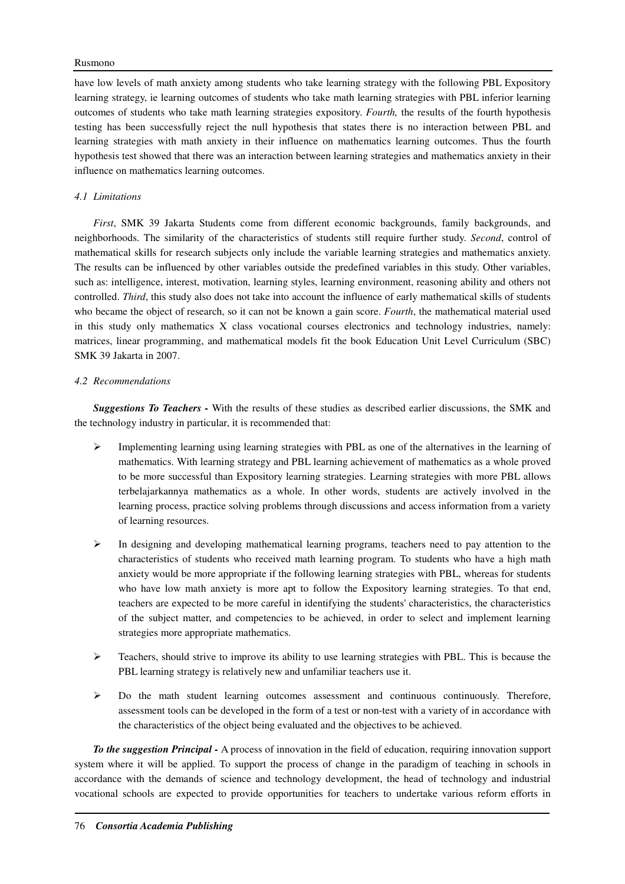### Rusmono

have low levels of math anxiety among students who take learning strategy with the following PBL Expository learning strategy, ie learning outcomes of students who take math learning strategies with PBL inferior learning outcomes of students who take math learning strategies expository. *Fourth,* the results of the fourth hypothesis testing has been successfully reject the null hypothesis that states there is no interaction between PBL and learning strategies with math anxiety in their influence on mathematics learning outcomes. Thus the fourth hypothesis test showed that there was an interaction between learning strategies and mathematics anxiety in their influence on mathematics learning outcomes.

## *4.1 Limitations*

*First*, SMK 39 Jakarta Students come from different economic backgrounds, family backgrounds, and neighborhoods. The similarity of the characteristics of students still require further study. *Second*, control of mathematical skills for research subjects only include the variable learning strategies and mathematics anxiety. The results can be influenced by other variables outside the predefined variables in this study. Other variables, such as: intelligence, interest, motivation, learning styles, learning environment, reasoning ability and others not controlled. *Third*, this study also does not take into account the influence of early mathematical skills of students who became the object of research, so it can not be known a gain score. *Fourth*, the mathematical material used in this study only mathematics X class vocational courses electronics and technology industries, namely: matrices, linear programming, and mathematical models fit the book Education Unit Level Curriculum (SBC) SMK 39 Jakarta in 2007.

## *4.2 Recommendations*

*Suggestions To Teachers -* With the results of these studies as described earlier discussions, the SMK and the technology industry in particular, it is recommended that:

- $\triangleright$  Implementing learning using learning strategies with PBL as one of the alternatives in the learning of mathematics. With learning strategy and PBL learning achievement of mathematics as a whole proved to be more successful than Expository learning strategies. Learning strategies with more PBL allows terbelajarkannya mathematics as a whole. In other words, students are actively involved in the learning process, practice solving problems through discussions and access information from a variety of learning resources.
- $\triangleright$  In designing and developing mathematical learning programs, teachers need to pay attention to the characteristics of students who received math learning program. To students who have a high math anxiety would be more appropriate if the following learning strategies with PBL, whereas for students who have low math anxiety is more apt to follow the Expository learning strategies. To that end, teachers are expected to be more careful in identifying the students' characteristics, the characteristics of the subject matter, and competencies to be achieved, in order to select and implement learning strategies more appropriate mathematics.
- $\triangleright$  Teachers, should strive to improve its ability to use learning strategies with PBL. This is because the PBL learning strategy is relatively new and unfamiliar teachers use it.
- $\triangleright$  Do the math student learning outcomes assessment and continuous continuously. Therefore, assessment tools can be developed in the form of a test or non-test with a variety of in accordance with the characteristics of the object being evaluated and the objectives to be achieved.

*To the suggestion Principal -* A process of innovation in the field of education, requiring innovation support system where it will be applied. To support the process of change in the paradigm of teaching in schools in accordance with the demands of science and technology development, the head of technology and industrial vocational schools are expected to provide opportunities for teachers to undertake various reform efforts in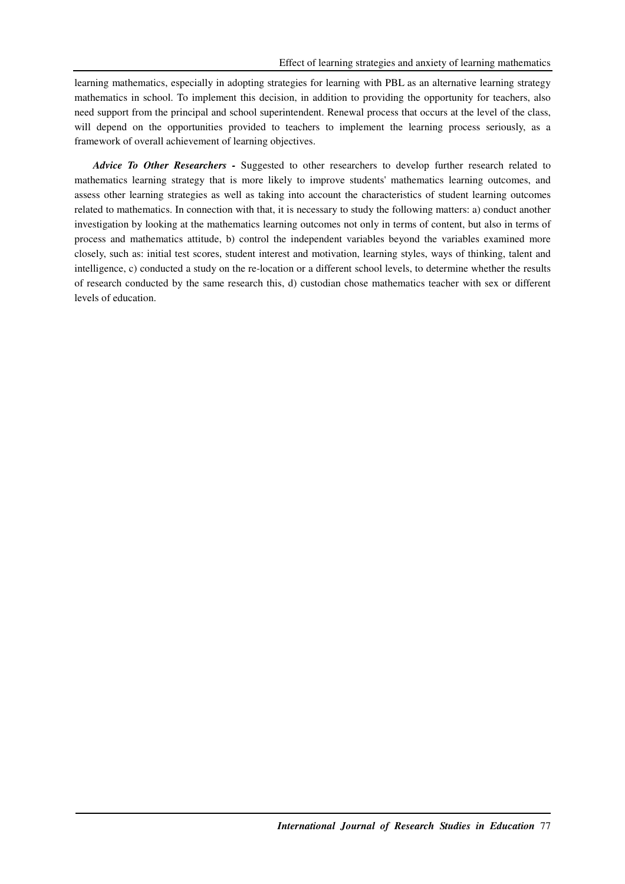learning mathematics, especially in adopting strategies for learning with PBL as an alternative learning strategy mathematics in school. To implement this decision, in addition to providing the opportunity for teachers, also need support from the principal and school superintendent. Renewal process that occurs at the level of the class, will depend on the opportunities provided to teachers to implement the learning process seriously, as a framework of overall achievement of learning objectives.

*Advice To Other Researchers -* Suggested to other researchers to develop further research related to mathematics learning strategy that is more likely to improve students' mathematics learning outcomes, and assess other learning strategies as well as taking into account the characteristics of student learning outcomes related to mathematics. In connection with that, it is necessary to study the following matters: a) conduct another investigation by looking at the mathematics learning outcomes not only in terms of content, but also in terms of process and mathematics attitude, b) control the independent variables beyond the variables examined more closely, such as: initial test scores, student interest and motivation, learning styles, ways of thinking, talent and intelligence, c) conducted a study on the re-location or a different school levels, to determine whether the results of research conducted by the same research this, d) custodian chose mathematics teacher with sex or different levels of education.